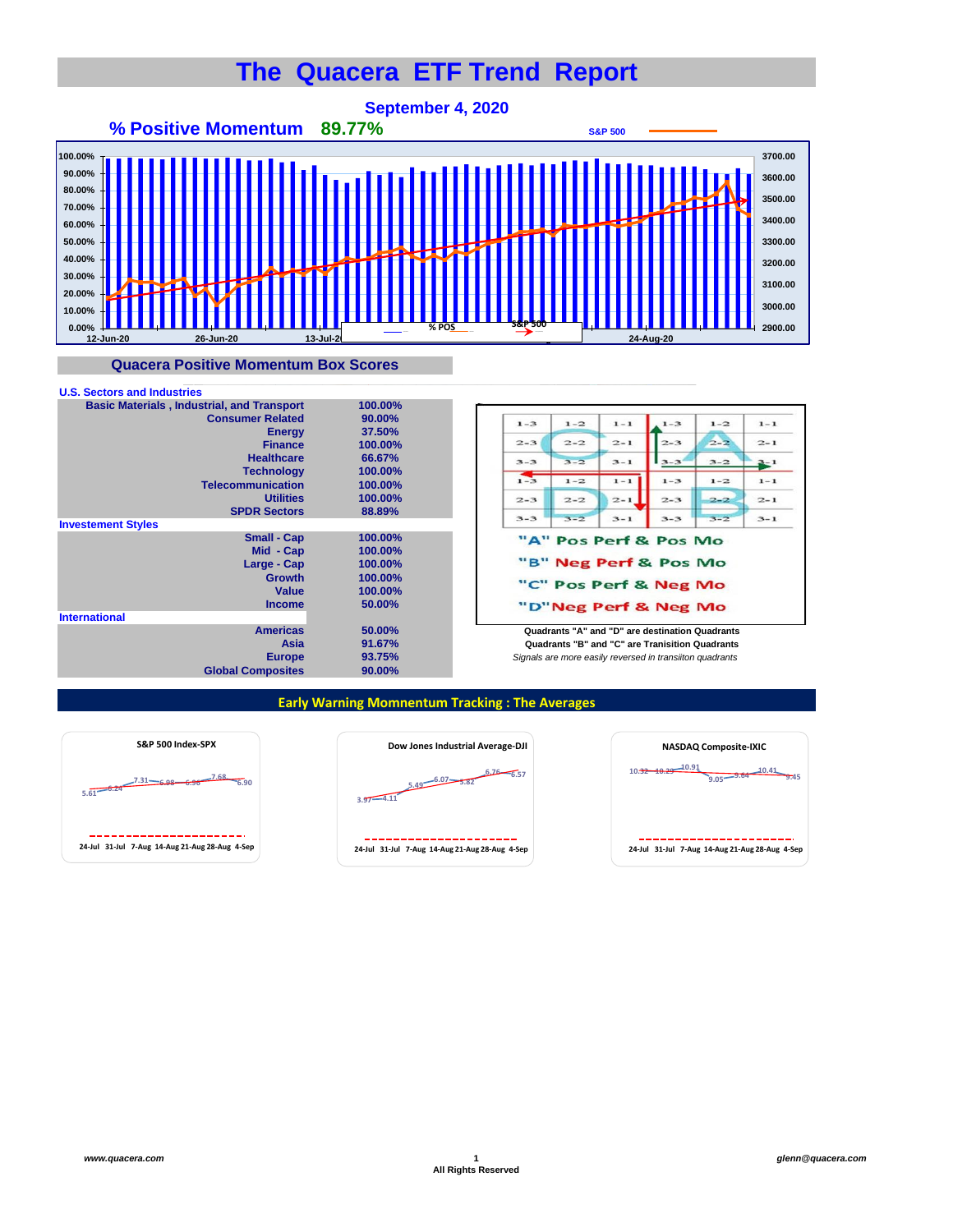## **The Quacera ETF Trend Report**



## **Quacera Positive Momentum Box Scores**





**Europe** *Signals are more easily reversed in transiiton quadrants* **Quadrants "B" and "C" are Tranisition Quadrants** 

## **Early Warning Momnentum Tracking : The Averages**





| <b>NASDAQ Composite-IXIC</b>                     |  |  |  |  |  |  |  |  |  |
|--------------------------------------------------|--|--|--|--|--|--|--|--|--|
| 0.91<br>10.32<br>-10.41<br>$9.05 - 9.64$<br>9.45 |  |  |  |  |  |  |  |  |  |
|                                                  |  |  |  |  |  |  |  |  |  |
| 24-Jul 31-Jul 7-Aug 14-Aug 21-Aug 28-Aug 4-Sep   |  |  |  |  |  |  |  |  |  |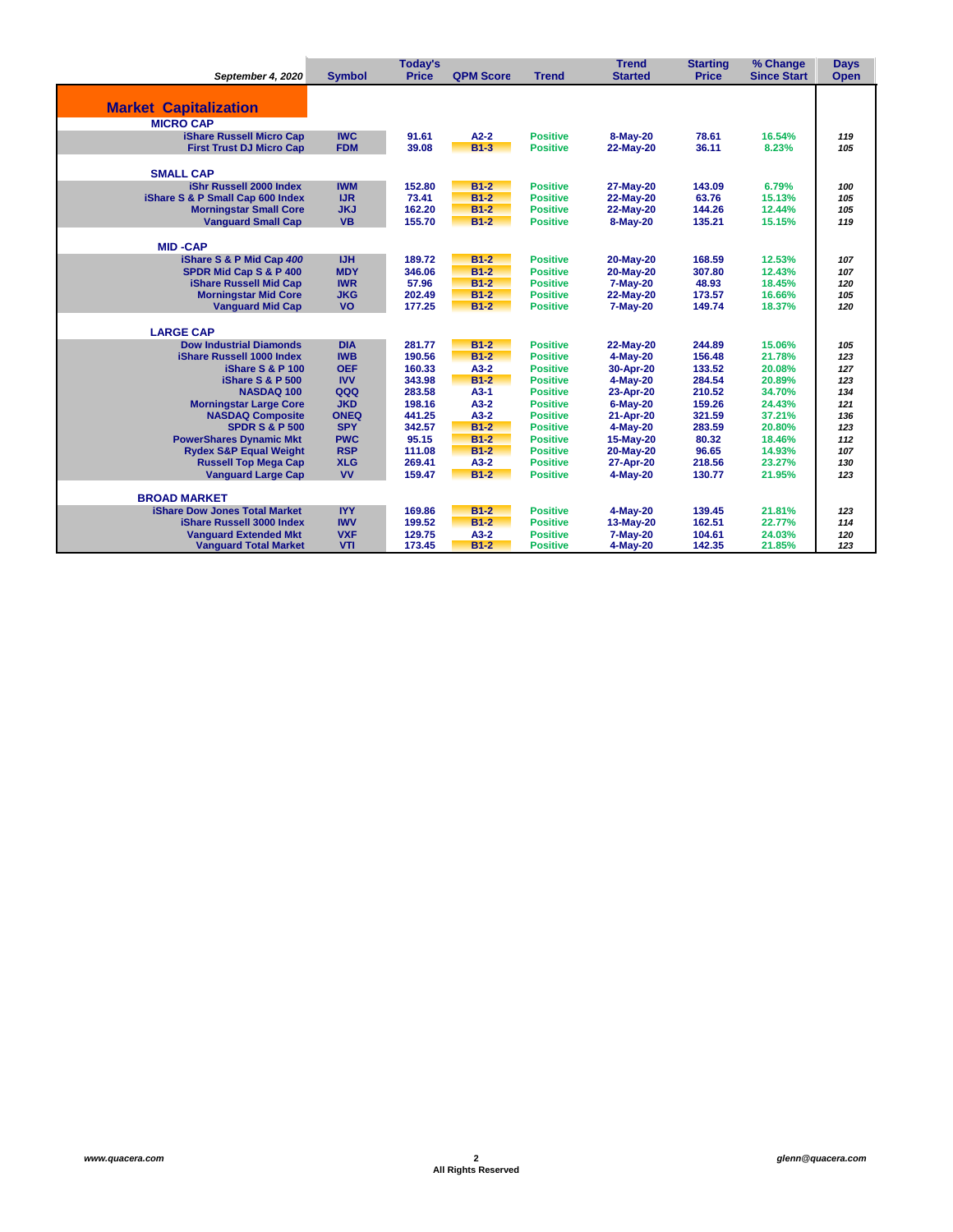|                                                    |               | Today's      |                  |                 | <b>Trend</b>          | <b>Starting</b> | % Change           | <b>Days</b> |
|----------------------------------------------------|---------------|--------------|------------------|-----------------|-----------------------|-----------------|--------------------|-------------|
| September 4, 2020                                  | <b>Symbol</b> | <b>Price</b> | <b>QPM Score</b> | <b>Trend</b>    | <b>Started</b>        | <b>Price</b>    | <b>Since Start</b> | <b>Open</b> |
|                                                    |               |              |                  |                 |                       |                 |                    |             |
| <b>Market Capitalization</b>                       |               |              |                  |                 |                       |                 |                    |             |
|                                                    |               |              |                  |                 |                       |                 |                    |             |
| <b>MICRO CAP</b>                                   |               |              |                  |                 |                       |                 |                    |             |
| <b>iShare Russell Micro Cap</b>                    | <b>IWC</b>    | 91.61        | $A2-2$           | <b>Positive</b> | 8-May-20              | 78.61           | 16.54%             | 119         |
| <b>First Trust DJ Micro Cap</b>                    | <b>FDM</b>    | 39.08        | $B1-3$           | <b>Positive</b> | 22-May-20             | 36.11           | 8.23%              | 105         |
| <b>SMALL CAP</b>                                   |               |              |                  |                 |                       |                 |                    |             |
| iShr Russell 2000 Index                            | <b>IWM</b>    | 152.80       | $B1-2$           | <b>Positive</b> | 27-May-20             | 143.09          | 6.79%              | 100         |
| iShare S & P Small Cap 600 Index                   | <b>IJR</b>    | 73.41        | $B1-2$           | <b>Positive</b> | 22-May-20             | 63.76           | 15.13%             | 105         |
| <b>Morningstar Small Core</b>                      | <b>JKJ</b>    | 162.20       | $B1-2$           | <b>Positive</b> | 22-May-20             | 144.26          | 12.44%             | 105         |
| <b>Vanguard Small Cap</b>                          | <b>VB</b>     | 155.70       | $B1-2$           | <b>Positive</b> | 8-May-20              | 135.21          | 15.15%             | 119         |
| <b>MID-CAP</b>                                     |               |              |                  |                 |                       |                 |                    |             |
|                                                    | <b>IJH</b>    | 189.72       | $B1-2$           | <b>Positive</b> |                       | 168.59          | 12.53%             | 107         |
| iShare S & P Mid Cap 400<br>SPDR Mid Cap S & P 400 | <b>MDY</b>    | 346.06       | $B1-2$           | <b>Positive</b> | 20-May-20             | 307.80          | 12.43%             |             |
| iShare Russell Mid Cap                             | <b>IWR</b>    | 57.96        | $B1-2$           | <b>Positive</b> | 20-May-20             | 48.93           | 18.45%             | 107<br>120  |
| <b>Morningstar Mid Core</b>                        | <b>JKG</b>    | 202.49       | $B1-2$           | <b>Positive</b> | 7-May-20<br>22-May-20 | 173.57          | 16.66%             | 105         |
| <b>Vanguard Mid Cap</b>                            | <b>VO</b>     | 177.25       | $B1-2$           | <b>Positive</b> | 7-May-20              | 149.74          | 18.37%             | 120         |
|                                                    |               |              |                  |                 |                       |                 |                    |             |
| <b>LARGE CAP</b>                                   |               |              |                  |                 |                       |                 |                    |             |
| <b>Dow Industrial Diamonds</b>                     | <b>DIA</b>    | 281.77       | $B1-2$           | <b>Positive</b> | 22-May-20             | 244.89          | 15.06%             | 105         |
| iShare Russell 1000 Index                          | <b>IWB</b>    | 190.56       | $B1-2$           | <b>Positive</b> | $4-May-20$            | 156.48          | 21.78%             | 123         |
| iShare S & P 100                                   | <b>OEF</b>    | 160.33       | $A3-2$           | <b>Positive</b> | 30-Apr-20             | 133.52          | 20.08%             | 127         |
| iShare S & P 500                                   | <b>IVV</b>    | 343.98       | $B1-2$           | <b>Positive</b> | $4-May-20$            | 284.54          | 20.89%             | 123         |
| <b>NASDAQ 100</b>                                  | QQQ           | 283.58       | $A3-1$           | <b>Positive</b> | 23-Apr-20             | 210.52          | 34.70%             | 134         |
| <b>Morningstar Large Core</b>                      | <b>JKD</b>    | 198.16       | $A3-2$           | <b>Positive</b> | $6$ -May-20           | 159.26          | 24.43%             | 121         |
| <b>NASDAQ Composite</b>                            | <b>ONEQ</b>   | 441.25       | $A3-2$           | <b>Positive</b> | 21-Apr-20             | 321.59          | 37.21%             | 136         |
| <b>SPDR S &amp; P 500</b>                          | <b>SPY</b>    | 342.57       | $B1-2$           | <b>Positive</b> | 4-May-20              | 283.59          | 20.80%             | 123         |
| <b>PowerShares Dynamic Mkt</b>                     | <b>PWC</b>    | 95.15        | $B1-2$           | <b>Positive</b> | 15-May-20             | 80.32           | 18.46%             | 112         |
| <b>Rydex S&amp;P Equal Weight</b>                  | <b>RSP</b>    | 111.08       | $B1-2$           | <b>Positive</b> | 20-May-20             | 96.65           | 14.93%             | 107         |
| <b>Russell Top Mega Cap</b>                        | <b>XLG</b>    | 269.41       | $A3-2$           | <b>Positive</b> | 27-Apr-20             | 218.56          | 23.27%             | 130         |
| <b>Vanguard Large Cap</b>                          | <b>VV</b>     | 159.47       | $B1-2$           | <b>Positive</b> | 4-May-20              | 130.77          | 21.95%             | 123         |
| <b>BROAD MARKET</b>                                |               |              |                  |                 |                       |                 |                    |             |
| <b>iShare Dow Jones Total Market</b>               | <b>IYY</b>    | 169.86       | $B1-2$           | <b>Positive</b> | $4-May-20$            | 139.45          | 21.81%             | 123         |
| <b>iShare Russell 3000 Index</b>                   | <b>IWV</b>    | 199.52       | $B1-2$           | <b>Positive</b> | 13-May-20             | 162.51          | 22.77%             | 114         |
| <b>Vanguard Extended Mkt</b>                       | <b>VXF</b>    | 129.75       | $A3-2$           | <b>Positive</b> | 7-May-20              | 104.61          | 24.03%             | 120         |
| <b>Vanguard Total Market</b>                       | VTI           | 173.45       | $B1-2$           | <b>Positive</b> | 4-May-20              | 142.35          | 21.85%             | 123         |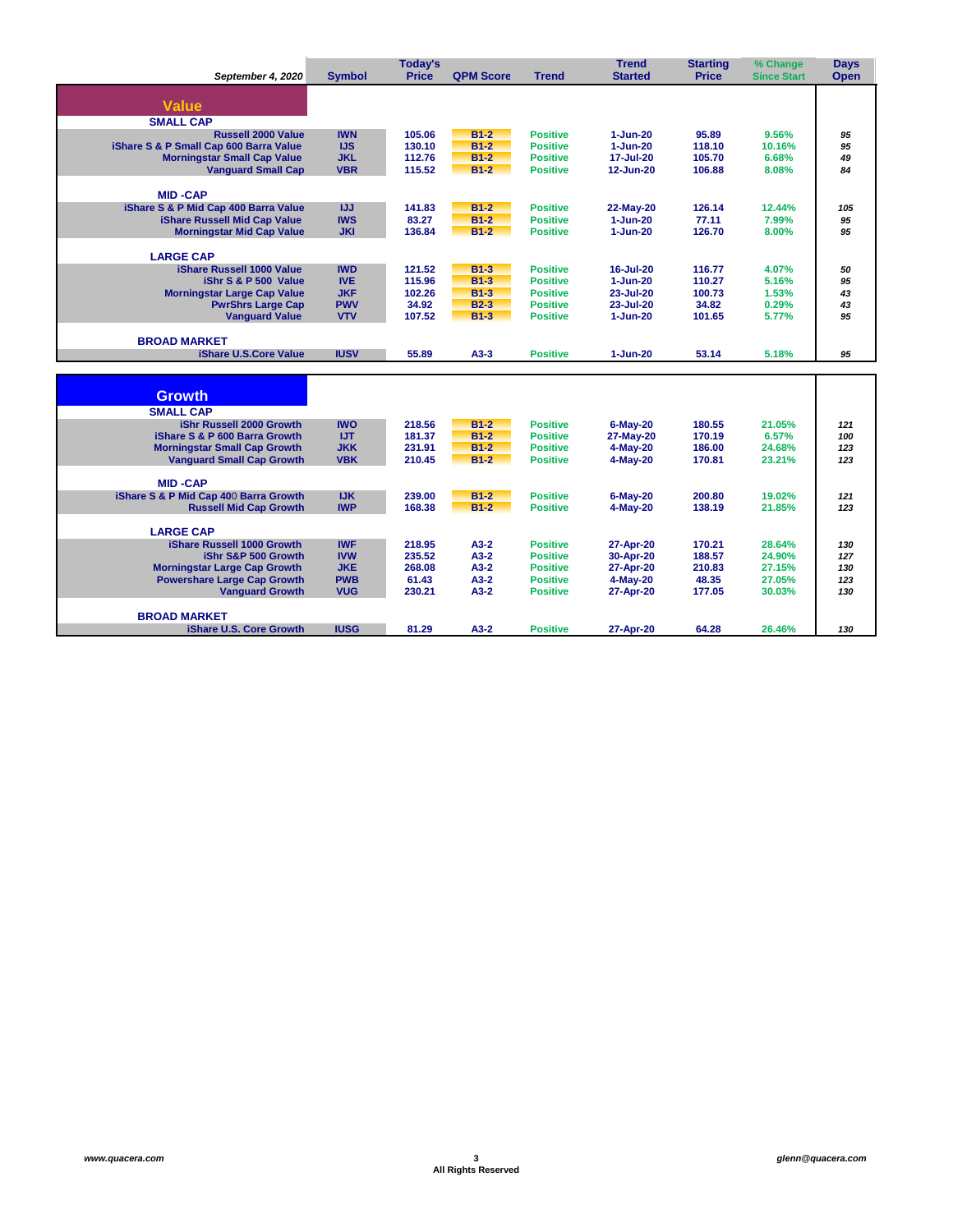|                                                                        |               | <b>Today's</b>   |                  |                                    | <b>Trend</b>            | <b>Starting</b>  | % Change           | <b>Days</b> |
|------------------------------------------------------------------------|---------------|------------------|------------------|------------------------------------|-------------------------|------------------|--------------------|-------------|
| September 4, 2020                                                      | <b>Symbol</b> | <b>Price</b>     | <b>QPM Score</b> | <b>Trend</b>                       | <b>Started</b>          | <b>Price</b>     | <b>Since Start</b> | <b>Open</b> |
|                                                                        |               |                  |                  |                                    |                         |                  |                    |             |
| <b>Value</b>                                                           |               |                  |                  |                                    |                         |                  |                    |             |
| <b>SMALL CAP</b>                                                       |               |                  |                  |                                    |                         |                  |                    |             |
| <b>Russell 2000 Value</b>                                              | <b>IWN</b>    | 105.06           | $B1-2$           | <b>Positive</b>                    | $1 - Jun-20$            | 95.89            | 9.56%              | 95          |
| iShare S & P Small Cap 600 Barra Value                                 | <b>IJS</b>    | 130.10           | $B1-2$           | <b>Positive</b>                    | $1 - Jun-20$            | 118.10           | 10.16%             | 95          |
| <b>Morningstar Small Cap Value</b>                                     | <b>JKL</b>    | 112.76           | $B1-2$           | <b>Positive</b>                    | 17-Jul-20               | 105.70           | 6.68%              | 49          |
| <b>Vanguard Small Cap</b>                                              | <b>VBR</b>    | 115.52           | $B1-2$           | <b>Positive</b>                    | 12-Jun-20               | 106.88           | 8.08%              | 84          |
| <b>MID-CAP</b>                                                         |               |                  |                  |                                    |                         |                  |                    |             |
| iShare S & P Mid Cap 400 Barra Value                                   | IJJ           | 141.83           | $B1-2$           | <b>Positive</b>                    | 22-May-20               | 126.14           | 12.44%             | 105         |
| iShare Russell Mid Cap Value                                           | <b>IWS</b>    | 83.27            | $B1-2$           | <b>Positive</b>                    | $1 - Jun-20$            | 77.11            | 7.99%              | 95          |
| <b>Morningstar Mid Cap Value</b>                                       | <b>JKI</b>    | 136.84           | $B1-2$           | <b>Positive</b>                    | $1 - Jun-20$            | 126.70           | 8.00%              | 95          |
|                                                                        |               |                  |                  |                                    |                         |                  |                    |             |
| <b>LARGE CAP</b>                                                       |               |                  |                  |                                    |                         |                  |                    |             |
| iShare Russell 1000 Value                                              | <b>IWD</b>    | 121.52           | $B1-3$           | <b>Positive</b>                    | 16-Jul-20               | 116.77           | 4.07%              | 50          |
| iShr S & P 500 Value                                                   | <b>IVE</b>    | 115.96           | $B1-3$           | <b>Positive</b>                    | $1 - Jun-20$            | 110.27           | 5.16%              | 95          |
| <b>Morningstar Large Cap Value</b>                                     | <b>JKF</b>    | 102.26           | $B1-3$           | <b>Positive</b>                    | 23-Jul-20               | 100.73           | 1.53%              | 43          |
| <b>PwrShrs Large Cap</b>                                               | <b>PWV</b>    | 34.92            | $B2-3$<br>$B1-3$ | <b>Positive</b>                    | 23-Jul-20               | 34.82            | 0.29%              | 43          |
| <b>Vanguard Value</b>                                                  | <b>VTV</b>    | 107.52           |                  | <b>Positive</b>                    | $1 - Jun-20$            | 101.65           | 5.77%              | 95          |
| <b>BROAD MARKET</b>                                                    |               |                  |                  |                                    |                         |                  |                    |             |
| <b>iShare U.S.Core Value</b>                                           | <b>IUSV</b>   | 55.89            | $A3-3$           | <b>Positive</b>                    | 1-Jun-20                | 53.14            | 5.18%              | 95          |
|                                                                        |               |                  |                  |                                    |                         |                  |                    |             |
|                                                                        |               |                  |                  |                                    |                         |                  |                    |             |
| <b>Growth</b>                                                          |               |                  |                  |                                    |                         |                  |                    |             |
| <b>SMALL CAP</b>                                                       |               |                  |                  |                                    |                         |                  |                    |             |
| iShr Russell 2000 Growth                                               | <b>IWO</b>    | 218.56           | $B1-2$           | <b>Positive</b>                    | $6-May-20$              | 180.55           | 21.05%             | 121         |
| iShare S & P 600 Barra Growth                                          | <b>IJT</b>    | 181.37           | $B1-2$           | <b>Positive</b>                    | 27-May-20               | 170.19           | 6.57%              | 100         |
| <b>Morningstar Small Cap Growth</b>                                    | <b>JKK</b>    | 231.91           | $B1-2$           | <b>Positive</b>                    | 4-May-20                | 186.00           | 24.68%             | 123         |
| <b>Vanguard Small Cap Growth</b>                                       | <b>VBK</b>    | 210.45           | $B1-2$           | <b>Positive</b>                    | 4-May-20                | 170.81           | 23.21%             | 123         |
|                                                                        |               |                  |                  |                                    |                         |                  |                    |             |
| <b>MID-CAP</b>                                                         | <b>IJK</b>    |                  |                  |                                    |                         |                  |                    |             |
| iShare S & P Mid Cap 400 Barra Growth<br><b>Russell Mid Cap Growth</b> | <b>IWP</b>    | 239.00<br>168.38 | $B1-2$<br>$B1-2$ | <b>Positive</b><br><b>Positive</b> | $6$ -Mav-20<br>4-May-20 | 200.80<br>138.19 | 19.02%<br>21.85%   | 121<br>123  |
|                                                                        |               |                  |                  |                                    |                         |                  |                    |             |
| <b>LARGE CAP</b>                                                       |               |                  |                  |                                    |                         |                  |                    |             |
| iShare Russell 1000 Growth                                             | <b>IWF</b>    | 218.95           | $A3-2$           | <b>Positive</b>                    | 27-Apr-20               | 170.21           | 28.64%             | 130         |
| iShr S&P 500 Growth                                                    | <b>IVW</b>    | 235.52           | $A3-2$           | <b>Positive</b>                    | 30-Apr-20               | 188.57           | 24.90%             | 127         |
| <b>Morningstar Large Cap Growth</b>                                    | <b>JKE</b>    | 268.08           | $A3-2$           | <b>Positive</b>                    | 27-Apr-20               | 210.83           | 27.15%             | 130         |
| <b>Powershare Large Cap Growth</b>                                     | <b>PWB</b>    | 61.43            | $A3-2$           | <b>Positive</b>                    | 4-May-20                | 48.35            | 27.05%             | 123         |
| <b>Vanguard Growth</b>                                                 | <b>VUG</b>    | 230.21           | $A3-2$           | <b>Positive</b>                    | 27-Apr-20               | 177.05           | 30.03%             | 130         |
| <b>BROAD MARKET</b>                                                    |               |                  |                  |                                    |                         |                  |                    |             |
| <b>iShare U.S. Core Growth</b>                                         | <b>IUSG</b>   | 81.29            | $A3-2$           | <b>Positive</b>                    | 27-Apr-20               | 64.28            | 26.46%             | 130         |
|                                                                        |               |                  |                  |                                    |                         |                  |                    |             |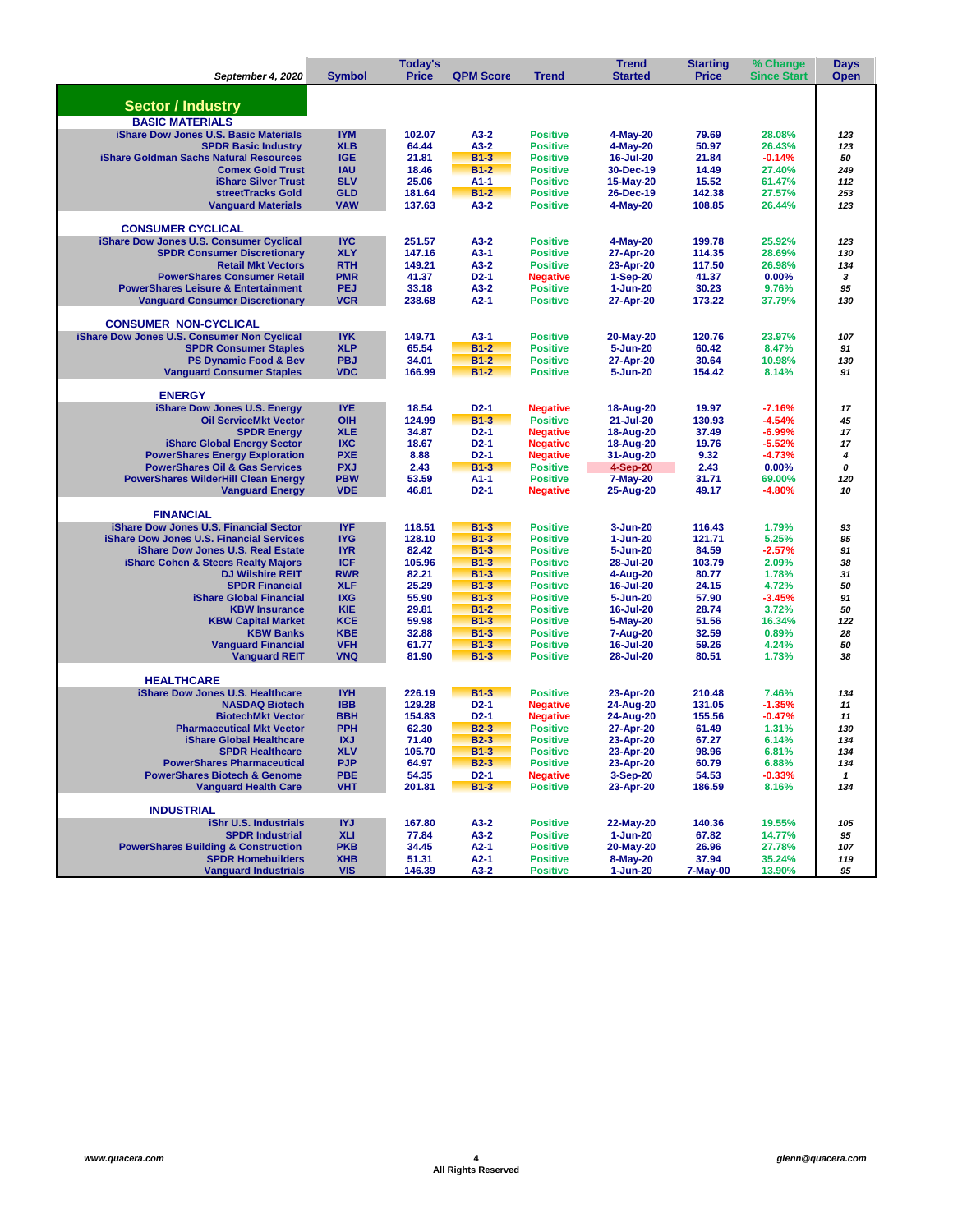|                                                                                    |                          | Today's          |                  |                                    | <b>Trend</b>              | % Change         | <b>Days</b>          |              |
|------------------------------------------------------------------------------------|--------------------------|------------------|------------------|------------------------------------|---------------------------|------------------|----------------------|--------------|
| September 4, 2020                                                                  | <b>Symbol</b>            | <b>Price</b>     | <b>QPM Score</b> | <b>Trend</b>                       | <b>Started</b>            | <b>Price</b>     | <b>Since Start</b>   | <b>Open</b>  |
|                                                                                    |                          |                  |                  |                                    |                           |                  |                      |              |
| <b>Sector / Industry</b>                                                           |                          |                  |                  |                                    |                           |                  |                      |              |
| <b>BASIC MATERIALS</b>                                                             |                          |                  |                  |                                    |                           |                  |                      |              |
| <b>iShare Dow Jones U.S. Basic Materials</b>                                       | <b>IYM</b>               | 102.07           | $A3-2$           | <b>Positive</b>                    | 4-May-20                  | 79.69            | 28.08%               | 123          |
| <b>SPDR Basic Industry</b>                                                         | <b>XLB</b>               | 64.44            | $A3-2$           | <b>Positive</b>                    | 4-May-20                  | 50.97            | 26.43%               | 123          |
| <b>iShare Goldman Sachs Natural Resources</b>                                      | <b>IGE</b>               | 21.81            | $B1-3$           | <b>Positive</b>                    | 16-Jul-20                 | 21.84            | $-0.14%$             | 50           |
| <b>Comex Gold Trust</b>                                                            | <b>IAU</b>               | 18.46            | $B1-2$           | <b>Positive</b>                    | 30-Dec-19                 | 14.49            | 27.40%               | 249          |
| <b>iShare Silver Trust</b>                                                         | <b>SLV</b>               | 25.06            | $A1-1$           | <b>Positive</b>                    | 15-May-20                 | 15.52            | 61.47%               | 112          |
| streetTracks Gold                                                                  | <b>GLD</b>               | 181.64           | $B1-2$           | <b>Positive</b>                    | 26-Dec-19                 | 142.38           | 27.57%               | 253          |
| <b>Vanguard Materials</b>                                                          | <b>VAW</b>               | 137.63           | $A3-2$           | <b>Positive</b>                    | 4-May-20                  | 108.85           | 26.44%               | 123          |
| <b>CONSUMER CYCLICAL</b>                                                           |                          |                  |                  |                                    |                           |                  |                      |              |
| iShare Dow Jones U.S. Consumer Cyclical                                            | <b>IYC</b>               | 251.57           | $A3-2$           | <b>Positive</b>                    | 4-May-20                  | 199.78           | 25.92%               | 123          |
| <b>SPDR Consumer Discretionary</b>                                                 | <b>XLY</b>               | 147.16           | $A3-1$           | <b>Positive</b>                    | 27-Apr-20                 | 114.35           | 28.69%               | 130          |
| <b>Retail Mkt Vectors</b>                                                          | <b>RTH</b>               | 149.21           | $A3-2$           | <b>Positive</b>                    | 23-Apr-20                 | 117.50           | 26.98%               | 134          |
| <b>PowerShares Consumer Retail</b>                                                 | <b>PMR</b>               | 41.37            | $D2-1$           | <b>Negative</b>                    | 1-Sep-20                  | 41.37            | 0.00%                | 3            |
| <b>PowerShares Leisure &amp; Entertainment</b>                                     | <b>PEJ</b>               | 33.18            | $A3-2$           | <b>Positive</b>                    | $1 - Jun-20$              | 30.23            | 9.76%                | 95           |
| <b>Vanguard Consumer Discretionary</b>                                             | <b>VCR</b>               | 238.68           | $A2-1$           | <b>Positive</b>                    | 27-Apr-20                 | 173.22           | 37.79%               | 130          |
|                                                                                    |                          |                  |                  |                                    |                           |                  |                      |              |
| <b>CONSUMER NON-CYCLICAL</b>                                                       | <b>IYK</b>               | 149.71           | $A3-1$           | <b>Positive</b>                    |                           | 120.76           | 23.97%               |              |
| iShare Dow Jones U.S. Consumer Non Cyclical<br><b>SPDR Consumer Staples</b>        | <b>XLP</b>               | 65.54            | $B1-2$           | <b>Positive</b>                    | 20-May-20<br>5-Jun-20     | 60.42            | 8.47%                | 107<br>91    |
| <b>PS Dynamic Food &amp; Bev</b>                                                   | <b>PBJ</b>               | 34.01            | $B1-2$           | <b>Positive</b>                    | 27-Apr-20                 | 30.64            | 10.98%               | 130          |
| <b>Vanguard Consumer Staples</b>                                                   | <b>VDC</b>               | 166.99           | $B1-2$           | <b>Positive</b>                    | 5-Jun-20                  | 154.42           | 8.14%                | 91           |
|                                                                                    |                          |                  |                  |                                    |                           |                  |                      |              |
| <b>ENERGY</b>                                                                      |                          |                  |                  |                                    |                           |                  |                      |              |
| iShare Dow Jones U.S. Energy                                                       | <b>IYE</b>               | 18.54            | $D2-1$           | <b>Negative</b>                    | 18-Aug-20                 | 19.97            | $-7.16%$             | 17           |
| <b>Oil ServiceMkt Vector</b>                                                       | OIH                      | 124.99           | $B1-3$           | <b>Positive</b>                    | 21-Jul-20                 | 130.93           | $-4.54%$             | 45           |
| <b>SPDR Enerav</b>                                                                 | <b>XLE</b>               | 34.87            | $D2-1$           | <b>Negative</b>                    | 18-Aug-20                 | 37.49            | $-6.99%$             | 17           |
| iShare Global Energy Sector                                                        | <b>IXC</b>               | 18.67            | $D2-1$           | <b>Negative</b>                    | 18-Aug-20                 | 19.76            | $-5.52%$             | 17           |
| <b>PowerShares Energy Exploration</b><br><b>PowerShares Oil &amp; Gas Services</b> | <b>PXE</b><br><b>PXJ</b> | 8.88             | $D2-1$<br>$B1-3$ | <b>Negative</b><br><b>Positive</b> | 31-Aug-20                 | 9.32             | $-4.73%$             | 4<br>0       |
| <b>PowerShares WilderHill Clean Energy</b>                                         | <b>PBW</b>               | 2.43<br>53.59    | $A1-1$           | <b>Positive</b>                    | $4-Sep-20$<br>7-May-20    | 2.43<br>31.71    | 0.00%<br>69.00%      | 120          |
| <b>Vanguard Energy</b>                                                             | <b>VDE</b>               | 46.81            | $D2-1$           | <b>Negative</b>                    | 25-Aug-20                 | 49.17            | $-4.80%$             | 10           |
|                                                                                    |                          |                  |                  |                                    |                           |                  |                      |              |
| <b>FINANCIAL</b>                                                                   |                          |                  |                  |                                    |                           |                  |                      |              |
| iShare Dow Jones U.S. Financial Sector                                             | <b>IYF</b>               | 118.51           | $B1-3$           | <b>Positive</b>                    | 3-Jun-20                  | 116.43           | 1.79%                | 93           |
| <b>iShare Dow Jones U.S. Financial Services</b>                                    | <b>IYG</b>               | 128.10           | $B1-3$           | <b>Positive</b>                    | 1-Jun-20                  | 121.71           | 5.25%                | 95           |
| <b>iShare Dow Jones U.S. Real Estate</b>                                           | <b>IYR</b>               | 82.42            | $B1-3$           | <b>Positive</b>                    | 5-Jun-20                  | 84.59            | $-2.57%$             | 91           |
| <b>iShare Cohen &amp; Steers Realty Majors</b>                                     | <b>ICF</b>               | 105.96           | $B1-3$           | <b>Positive</b>                    | 28-Jul-20                 | 103.79           | 2.09%                | 38           |
| <b>DJ Wilshire REIT</b>                                                            | <b>RWR</b><br><b>XLF</b> | 82.21<br>25.29   | $B1-3$<br>$B1-3$ | <b>Positive</b>                    | 4-Aug-20                  | 80.77            | 1.78%                | 31           |
| <b>SPDR Financial</b><br>iShare Global Financial                                   | <b>IXG</b>               | 55.90            | $B1-3$           | <b>Positive</b><br><b>Positive</b> | 16-Jul-20<br>5-Jun-20     | 24.15<br>57.90   | 4.72%<br>$-3.45%$    | 50<br>91     |
| <b>KBW Insurance</b>                                                               | <b>KIE</b>               | 29.81            | $B1-2$           | <b>Positive</b>                    | 16-Jul-20                 | 28.74            | 3.72%                | 50           |
| <b>KBW Capital Market</b>                                                          | <b>KCE</b>               | 59.98            | $B1-3$           | <b>Positive</b>                    | 5-May-20                  | 51.56            | 16.34%               | 122          |
| <b>KBW Banks</b>                                                                   | <b>KBE</b>               | 32.88            | $B1-3$           | <b>Positive</b>                    | 7-Aug-20                  | 32.59            | 0.89%                | 28           |
| <b>Vanguard Financial</b>                                                          | <b>VFH</b>               | 61.77            | $B1-3$           | <b>Positive</b>                    | 16-Jul-20                 | 59.26            | 4.24%                | 50           |
| <b>Vanguard REIT</b>                                                               | <b>VNQ</b>               | 81.90            | $B1-3$           | <b>Positive</b>                    | 28-Jul-20                 | 80.51            | 1.73%                | 38           |
|                                                                                    |                          |                  |                  |                                    |                           |                  |                      |              |
| <b>HEALTHCARE</b>                                                                  |                          |                  |                  |                                    |                           |                  |                      |              |
| <b>iShare Dow Jones U.S. Healthcare</b>                                            | <b>IYH</b><br><b>IBB</b> | 226.19           | $B1-3$<br>$D2-1$ | <b>Positive</b>                    | 23-Apr-20                 | 210.48           | 7.46%                | 134          |
| <b>NASDAQ Biotech</b><br><b>BiotechMkt Vector</b>                                  | <b>BBH</b>               | 129.28<br>154.83 | $D2-1$           | <b>Negative</b><br><b>Negative</b> | 24-Aug-20<br>24-Aug-20    | 131.05<br>155.56 | $-1.35%$<br>$-0.47%$ | 11<br>11     |
| <b>Pharmaceutical Mkt Vector</b>                                                   | <b>PPH</b>               | 62.30            | $B2-3$           | <b>Positive</b>                    | 27-Apr-20                 | 61.49            | 1.31%                | 130          |
| iShare Global Healthcare                                                           | <b>IXJ</b>               | 71.40            | <b>B2-3</b>      | <b>Positive</b>                    | 23-Apr-20                 | 67.27            | 6.14%                | 134          |
| <b>SPDR Healthcare</b>                                                             | <b>XLV</b>               | 105.70           | $B1-3$           | <b>Positive</b>                    | 23-Apr-20                 | 98.96            | 6.81%                | 134          |
| <b>PowerShares Pharmaceutical</b>                                                  | <b>PJP</b>               | 64.97            | $B2-3$           | <b>Positive</b>                    | 23-Apr-20                 | 60.79            | 6.88%                | 134          |
| <b>PowerShares Biotech &amp; Genome</b>                                            | <b>PBE</b>               | 54.35            | $D2-1$           | <b>Negative</b>                    | 3-Sep-20                  | 54.53            | $-0.33%$             | $\mathbf{1}$ |
| <b>Vanguard Health Care</b>                                                        | <b>VHT</b>               | 201.81           | $B1-3$           | <b>Positive</b>                    | 23-Apr-20                 | 186.59           | 8.16%                | 134          |
|                                                                                    |                          |                  |                  |                                    |                           |                  |                      |              |
| <b>INDUSTRIAL</b>                                                                  |                          |                  |                  |                                    |                           |                  |                      |              |
| iShr U.S. Industrials                                                              | <b>IYJ</b>               | 167.80           | $A3-2$           | <b>Positive</b>                    | 22-May-20                 | 140.36           | 19.55%               | 105          |
| <b>SPDR Industrial</b><br><b>PowerShares Building &amp; Construction</b>           | <b>XLI</b><br><b>PKB</b> | 77.84<br>34.45   | $A3-2$<br>$A2-1$ | <b>Positive</b><br><b>Positive</b> | $1 - Jun-20$<br>20-May-20 | 67.82<br>26.96   | 14.77%<br>27.78%     | 95<br>107    |
| <b>SPDR Homebuilders</b>                                                           | <b>XHB</b>               | 51.31            | $A2-1$           | <b>Positive</b>                    | 8-May-20                  | 37.94            | 35.24%               | 119          |
| <b>Vanguard Industrials</b>                                                        | <b>VIS</b>               | 146.39           | $A3-2$           | <b>Positive</b>                    | $1-Jun-20$                | 7-May-00         | 13.90%               | 95           |
|                                                                                    |                          |                  |                  |                                    |                           |                  |                      |              |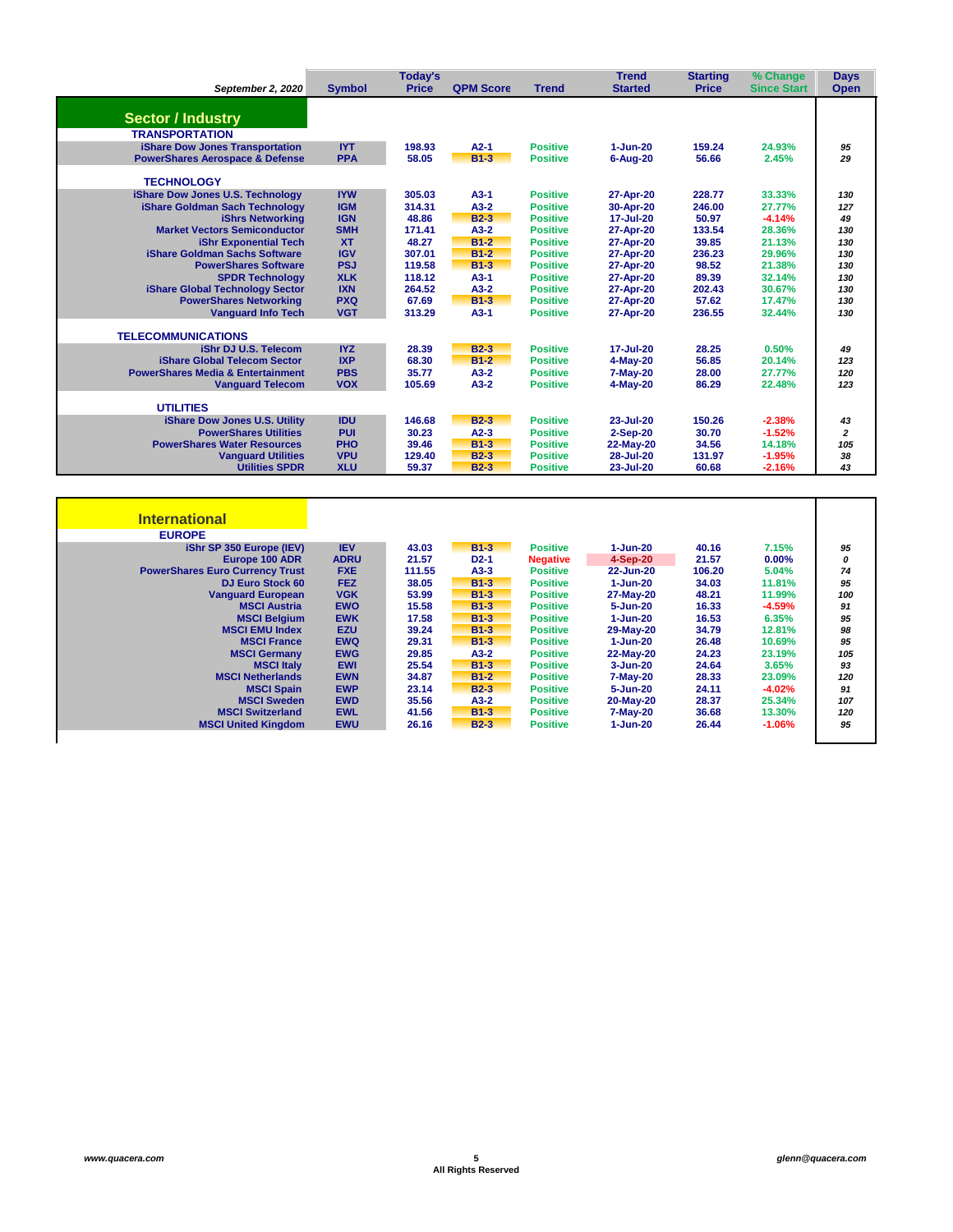| <b>Started</b><br>$1 - Jun-20$<br>$6 - Aug-20$<br>27-Apr-20<br>30-Apr-20<br>17-Jul-20<br>27-Apr-20 | <b>Price</b><br>159.24<br>56.66<br>228.77<br>246.00<br>50.97                        | <b>Since Start</b><br>24.93%<br>2.45%<br>33.33%<br>27.77% | Open<br>95<br>29<br>130<br>127                |
|----------------------------------------------------------------------------------------------------|-------------------------------------------------------------------------------------|-----------------------------------------------------------|-----------------------------------------------|
|                                                                                                    |                                                                                     |                                                           |                                               |
|                                                                                                    |                                                                                     |                                                           |                                               |
|                                                                                                    |                                                                                     |                                                           |                                               |
|                                                                                                    |                                                                                     |                                                           |                                               |
|                                                                                                    |                                                                                     |                                                           |                                               |
|                                                                                                    |                                                                                     |                                                           |                                               |
|                                                                                                    |                                                                                     |                                                           |                                               |
|                                                                                                    |                                                                                     |                                                           |                                               |
|                                                                                                    |                                                                                     |                                                           |                                               |
|                                                                                                    |                                                                                     |                                                           |                                               |
|                                                                                                    |                                                                                     | $-4.14%$                                                  | 49                                            |
|                                                                                                    | 133.54                                                                              | 28.36%                                                    | 130                                           |
|                                                                                                    |                                                                                     |                                                           | 130                                           |
| 27-Apr-20                                                                                          | 236.23                                                                              | 29.96%                                                    | 130                                           |
| 27-Apr-20                                                                                          | 98.52                                                                               | 21.38%                                                    | 130                                           |
| 27-Apr-20                                                                                          | 89.39                                                                               | 32.14%                                                    | 130                                           |
| 27-Apr-20                                                                                          | 202.43                                                                              | 30.67%                                                    | 130                                           |
| 27-Apr-20                                                                                          | 57.62                                                                               | 17.47%                                                    | 130                                           |
| 27-Apr-20                                                                                          | 236.55                                                                              | 32.44%                                                    | 130                                           |
|                                                                                                    |                                                                                     |                                                           |                                               |
|                                                                                                    |                                                                                     |                                                           |                                               |
|                                                                                                    |                                                                                     |                                                           | 49                                            |
|                                                                                                    |                                                                                     |                                                           | 123                                           |
|                                                                                                    |                                                                                     |                                                           | 120                                           |
|                                                                                                    |                                                                                     |                                                           | 123                                           |
|                                                                                                    |                                                                                     |                                                           |                                               |
| 23-Jul-20                                                                                          | 150.26                                                                              | $-2.38%$                                                  | 43                                            |
|                                                                                                    | 30.70                                                                               | $-1.52%$                                                  | $\overline{2}$                                |
|                                                                                                    | 34.56                                                                               | 14.18%                                                    | 105                                           |
| 28-Jul-20                                                                                          | 131.97                                                                              | $-1.95%$                                                  | 38                                            |
| 23-Jul-20                                                                                          | 60.68                                                                               | $-2.16%$                                                  | 43                                            |
|                                                                                                    | 27-Apr-20<br>17-Jul-20<br>4-May-20<br>7-May-20<br>4-May-20<br>2-Sep-20<br>22-May-20 | 39.85<br>28.25<br>56.85<br>28.00<br>86.29                 | 21.13%<br>0.50%<br>20.14%<br>27.77%<br>22.48% |

| <b>International</b>                   |             |        |        |                 |              |        |           |     |
|----------------------------------------|-------------|--------|--------|-----------------|--------------|--------|-----------|-----|
| <b>EUROPE</b>                          |             |        |        |                 |              |        |           |     |
| iShr SP 350 Europe (IEV)               | <b>IEV</b>  | 43.03  | $B1-3$ | <b>Positive</b> | 1-Jun-20     | 40.16  | 7.15%     | 95  |
| Europe 100 ADR                         | <b>ADRU</b> | 21.57  | $D2-1$ | <b>Negative</b> | 4-Sep-20     | 21.57  | $0.00\%$  | 0   |
| <b>PowerShares Euro Currency Trust</b> | <b>FXE</b>  | 111.55 | $A3-3$ | <b>Positive</b> | 22-Jun-20    | 106.20 | 5.04%     | 74  |
| <b>DJ Euro Stock 60</b>                | <b>FEZ</b>  | 38.05  | $B1-3$ | <b>Positive</b> | $1 - Jun-20$ | 34.03  | 11.81%    | 95  |
| <b>Vanguard European</b>               | <b>VGK</b>  | 53.99  | $B1-3$ | <b>Positive</b> | 27-May-20    | 48.21  | 11.99%    | 100 |
| <b>MSCI Austria</b>                    | <b>EWO</b>  | 15.58  | $B1-3$ | <b>Positive</b> | 5-Jun-20     | 16.33  | $-4.59%$  | 91  |
| <b>MSCI Belaium</b>                    | <b>EWK</b>  | 17.58  | $B1-3$ | <b>Positive</b> | $1 - Jun-20$ | 16.53  | 6.35%     | 95  |
| <b>MSCI EMU Index</b>                  | <b>EZU</b>  | 39.24  | $B1-3$ | <b>Positive</b> | 29-May-20    | 34.79  | 12.81%    | 98  |
| <b>MSCI France</b>                     | <b>EWQ</b>  | 29.31  | $B1-3$ | <b>Positive</b> | $1 - Jun-20$ | 26.48  | 10.69%    | 95  |
| <b>MSCI Germany</b>                    | <b>EWG</b>  | 29.85  | $A3-2$ | <b>Positive</b> | 22-May-20    | 24.23  | 23.19%    | 105 |
| <b>MSCI Italy</b>                      | <b>EWI</b>  | 25.54  | $B1-3$ | <b>Positive</b> | $3 - Jun-20$ | 24.64  | 3.65%     | 93  |
| <b>MSCI Netherlands</b>                | <b>EWN</b>  | 34.87  | $B1-2$ | <b>Positive</b> | $7-May-20$   | 28.33  | 23.09%    | 120 |
| <b>MSCI Spain</b>                      | <b>EWP</b>  | 23.14  | $B2-3$ | <b>Positive</b> | 5-Jun-20     | 24.11  | $-4.02%$  | 91  |
| <b>MSCI Sweden</b>                     | <b>EWD</b>  | 35.56  | $A3-2$ | <b>Positive</b> | 20-May-20    | 28.37  | 25.34%    | 107 |
| <b>MSCI Switzerland</b>                | <b>EWL</b>  | 41.56  | $B1-3$ | <b>Positive</b> | $7-May-20$   | 36.68  | 13.30%    | 120 |
| <b>MSCI United Kingdom</b>             | <b>EWU</b>  | 26.16  | $B2-3$ | <b>Positive</b> | $1 - Jun-20$ | 26.44  | $-1.06\%$ | 95  |
|                                        |             |        |        |                 |              |        |           |     |